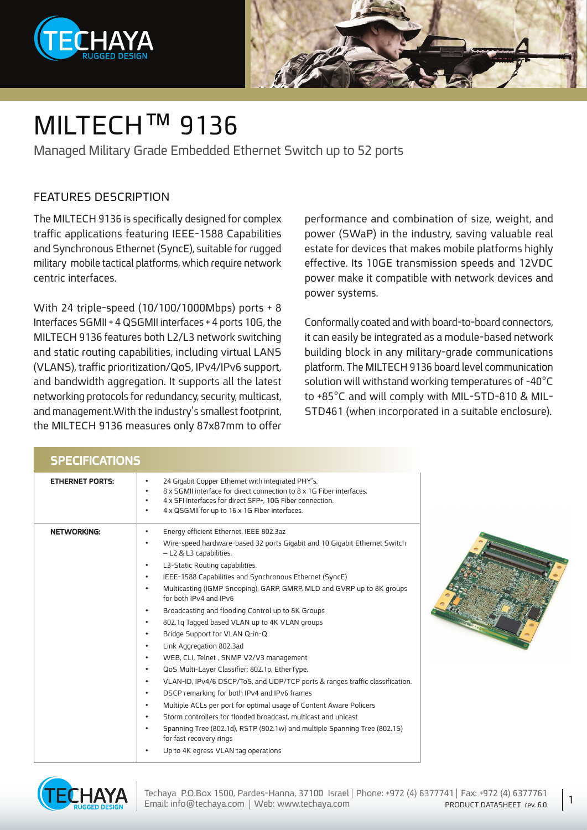



### MILTECH™ 9136

Managed Military Grade Embedded Ethernet Switch up to 52 ports

### FFATURES DESCRIPTION

The MILTECH 9136 is specifically designed for complex traffic applications featuring IEEE-1588 Capabilities and Synchronous Ethernet (SyncE), suitable for rugged military mobile tactical platforms, which require network centric interfaces.

With 24 triple-speed  $(10/100/1000$  Mbps) ports + 8 Interfaces SGMII + 4 QSGMII interfaces + 4 ports 10G, the MILTECH 9136 features both L2/L3 network switching and static routing capabilities, including virtual LANS (VLANS), traffic prioritization/QoS, IPv4/IPv6 support, and bandwidth aggregation. It supports all the latest networking protocols for redundancy, security, multicast, and management. With the industry's smallest footprint, the MILTECH 9136 measures only 87x87mm to offer

performance and combination of size, weight, and power (SWaP) in the industry, saving valuable real estate for devices that makes mobile platforms highly effective. Its 10GE transmission speeds and 12VDC power make it compatible with network devices and power systems.

Conformally coated and with board-to-board connectors, it can easily be integrated as a module-based network building block in any military-grade communications platform. The MILTECH 9136 board level communication solution will withstand working temperatures of -40°C STD461 (when incorporated in a suitable enclosure). to +85°C and will comply with MIL-STD-810 & MIL-

| <b>SPECIFICATIONS</b>  |                                                                                                                                                                                                                                                                                                                                                                                                                                                                                                                                                                                                                                                                                                                                                                                                                                                                                                                                                                                                                                                                                                                                                                                                                         |  |
|------------------------|-------------------------------------------------------------------------------------------------------------------------------------------------------------------------------------------------------------------------------------------------------------------------------------------------------------------------------------------------------------------------------------------------------------------------------------------------------------------------------------------------------------------------------------------------------------------------------------------------------------------------------------------------------------------------------------------------------------------------------------------------------------------------------------------------------------------------------------------------------------------------------------------------------------------------------------------------------------------------------------------------------------------------------------------------------------------------------------------------------------------------------------------------------------------------------------------------------------------------|--|
| <b>ETHERNET PORTS:</b> | 24 Gigabit Copper Ethernet with integrated PHY's.<br>$\bullet$<br>8 x 5GMII interface for direct connection to 8 x 1G Fiber interfaces.<br>4 x SFI interfaces for direct SFP+, 10G Fiber connection.<br>4 x QSGMII for up to 16 x 1G Fiber interfaces.<br>٠                                                                                                                                                                                                                                                                                                                                                                                                                                                                                                                                                                                                                                                                                                                                                                                                                                                                                                                                                             |  |
| <b>NETWORKING:</b>     | Energy efficient Ethernet, IEEE 802.3az<br>٠<br>Wire-speed hardware-based 32 ports Gigabit and 10 Gigabit Ethernet Switch<br>$\bullet$<br>- L2 & L3 capabilities.<br>L3-Static Routing capabilities.<br>$\bullet$<br>IEEE-1588 Capabilities and Synchronous Ethernet (SyncE)<br>$\bullet$<br>Multicasting (IGMP Snooping), GARP, GMRP, MLD and GVRP up to 8K groups<br>for both IPv4 and IPv6<br>Broadcasting and flooding Control up to 8K Groups<br>$\bullet$<br>802.1q Tagged based VLAN up to 4K VLAN groups<br>$\bullet$<br>Bridge Support for VLAN Q-in-Q<br>$\bullet$<br>Link Aggregation 802.3ad<br>$\bullet$<br>WEB, CLI, Telnet, SNMP V2/V3 management<br>$\bullet$<br>QoS Multi-Layer Classifier: 802.1p, EtherType,<br>$\bullet$<br>VLAN-ID, IPv4/6 DSCP/ToS, and UDP/TCP ports & ranges traffic classification.<br>$\bullet$<br>DSCP remarking for both IPv4 and IPv6 frames<br>$\bullet$<br>Multiple ACLs per port for optimal usage of Content Aware Policers<br>$\bullet$<br>Storm controllers for flooded broadcast, multicast and unicast<br>$\bullet$<br>Spanning Tree (802.1d), RSTP (802.1w) and multiple Spanning Tree (802.15)<br>for fast recovery rings<br>Up to 4K egress VLAN tag operations |  |



1

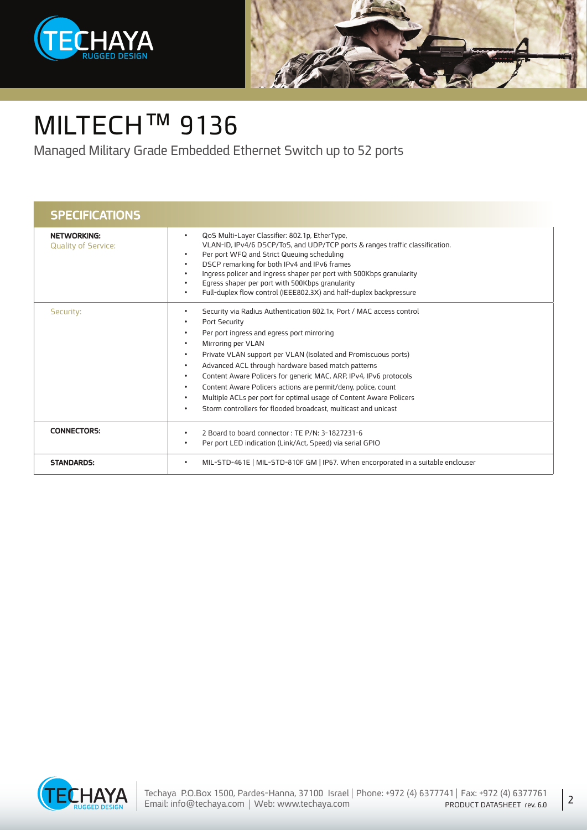



# MILTECH<sup>™</sup> 9136

Managed Military Grade Embedded Ethernet Switch up to 52 ports

| <b>SPECIFICATIONS</b>                            |                                                                                                                                                                                                                                                                                                                                                                                                                                                                                                                                                                                                                                                                                                   |
|--------------------------------------------------|---------------------------------------------------------------------------------------------------------------------------------------------------------------------------------------------------------------------------------------------------------------------------------------------------------------------------------------------------------------------------------------------------------------------------------------------------------------------------------------------------------------------------------------------------------------------------------------------------------------------------------------------------------------------------------------------------|
| <b>NETWORKING:</b><br><b>Quality of Service:</b> | QoS Multi-Layer Classifier: 802.1p, EtherType,<br>$\bullet$<br>VLAN-ID, IPv4/6 DSCP/ToS, and UDP/TCP ports & ranges traffic classification.<br>Per port WFQ and Strict Queuing scheduling<br>$\bullet$<br>DSCP remarking for both IPv4 and IPv6 frames<br>$\bullet$<br>Ingress policer and ingress shaper per port with 500Kbps granularity<br>$\bullet$<br>Egress shaper per port with 500Kbps granularity<br>Full-duplex flow control (IEEE802.3X) and half-duplex backpressure<br>$\bullet$                                                                                                                                                                                                    |
| Security:                                        | Security via Radius Authentication 802.1x, Port / MAC access control<br>$\bullet$<br>Port Security<br>$\bullet$<br>Per port ingress and egress port mirroring<br>$\bullet$<br>Mirroring per VLAN<br>$\bullet$<br>Private VLAN support per VLAN (Isolated and Promiscuous ports)<br>$\bullet$<br>Advanced ACL through hardware based match patterns<br>$\bullet$<br>Content Aware Policers for generic MAC, ARP, IPv4, IPv6 protocols<br>$\bullet$<br>Content Aware Policers actions are permit/deny, police, count<br>$\bullet$<br>Multiple ACLs per port for optimal usage of Content Aware Policers<br>$\bullet$<br>Storm controllers for flooded broadcast, multicast and unicast<br>$\bullet$ |
| <b>CONNECTORS:</b>                               | 2 Board to board connector: TE P/N: 3-1827231-6<br>$\bullet$<br>Per port LED indication (Link/Act, Speed) via serial GPIO<br>$\bullet$                                                                                                                                                                                                                                                                                                                                                                                                                                                                                                                                                            |
| <b>STANDARDS:</b>                                | MIL-STD-461E   MIL-STD-810F GM   IP67. When encorporated in a suitable enclouser                                                                                                                                                                                                                                                                                                                                                                                                                                                                                                                                                                                                                  |



2